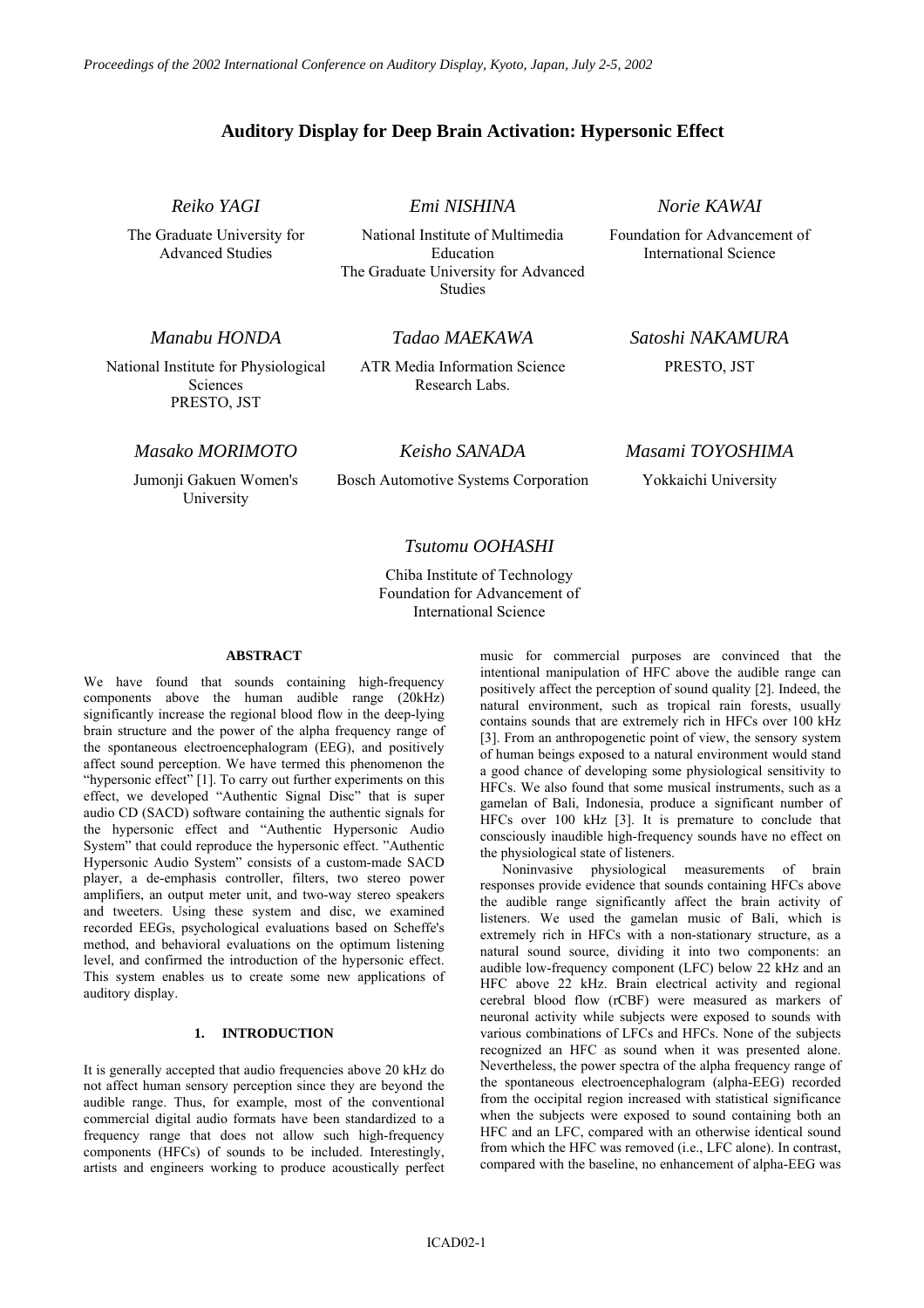# **Auditory Display for Deep Brain Activation: Hypersonic Effect**

*Reiko YAGI* 

The Graduate University for Advanced Studies

*Emi NISHINA* 

National Institute of Multimedia Education The Graduate University for Advanced Studies

*Norie KAWAI* 

Foundation for Advancement of International Science

*Manabu HONDA* 

National Institute for Physiological Sciences PRESTO, JST

*Tadao MAEKAWA* 

ATR Media Information Science Research Labs.

*Satoshi NAKAMURA*  PRESTO, JST

*Masako MORIMOTO* 

Jumonji Gakuen Women's University

*Keisho SANADA* 

Bosch Automotive Systems Corporation

## *Masami TOYOSHIMA*

Yokkaichi University

## *Tsutomu OOHASHI*

Chiba Institute of Technology Foundation for Advancement of International Science

## **ABSTRACT**

We have found that sounds containing high-frequency components above the human audible range (20kHz) significantly increase the regional blood flow in the deep-lying brain structure and the power of the alpha frequency range of the spontaneous electroencephalogram (EEG), and positively affect sound perception. We have termed this phenomenon the "hypersonic effect" [1]. To carry out further experiments on this effect, we developed "Authentic Signal Disc" that is super audio CD (SACD) software containing the authentic signals for the hypersonic effect and "Authentic Hypersonic Audio System" that could reproduce the hypersonic effect. "Authentic Hypersonic Audio System" consists of a custom-made SACD player, a de-emphasis controller, filters, two stereo power amplifiers, an output meter unit, and two-way stereo speakers and tweeters. Using these system and disc, we examined recorded EEGs, psychological evaluations based on Scheffe's method, and behavioral evaluations on the optimum listening level, and confirmed the introduction of the hypersonic effect. This system enables us to create some new applications of auditory display.

## **1. INTRODUCTION**

It is generally accepted that audio frequencies above 20 kHz do not affect human sensory perception since they are beyond the audible range. Thus, for example, most of the conventional commercial digital audio formats have been standardized to a frequency range that does not allow such high-frequency components (HFCs) of sounds to be included. Interestingly, artists and engineers working to produce acoustically perfect music for commercial purposes are convinced that the intentional manipulation of HFC above the audible range can positively affect the perception of sound quality [2]. Indeed, the natural environment, such as tropical rain forests, usually contains sounds that are extremely rich in HFCs over 100 kHz [3]. From an anthropogenetic point of view, the sensory system of human beings exposed to a natural environment would stand a good chance of developing some physiological sensitivity to HFCs. We also found that some musical instruments, such as a gamelan of Bali, Indonesia, produce a significant number of HFCs over 100 kHz [3]. It is premature to conclude that consciously inaudible high-frequency sounds have no effect on the physiological state of listeners.

Noninvasive physiological measurements of brain responses provide evidence that sounds containing HFCs above the audible range significantly affect the brain activity of listeners. We used the gamelan music of Bali, which is extremely rich in HFCs with a non-stationary structure, as a natural sound source, dividing it into two components: an audible low-frequency component (LFC) below 22 kHz and an HFC above 22 kHz. Brain electrical activity and regional cerebral blood flow (rCBF) were measured as markers of neuronal activity while subjects were exposed to sounds with various combinations of LFCs and HFCs. None of the subjects recognized an HFC as sound when it was presented alone. Nevertheless, the power spectra of the alpha frequency range of the spontaneous electroencephalogram (alpha-EEG) recorded from the occipital region increased with statistical significance when the subjects were exposed to sound containing both an HFC and an LFC, compared with an otherwise identical sound from which the HFC was removed (i.e., LFC alone). In contrast, compared with the baseline, no enhancement of alpha-EEG was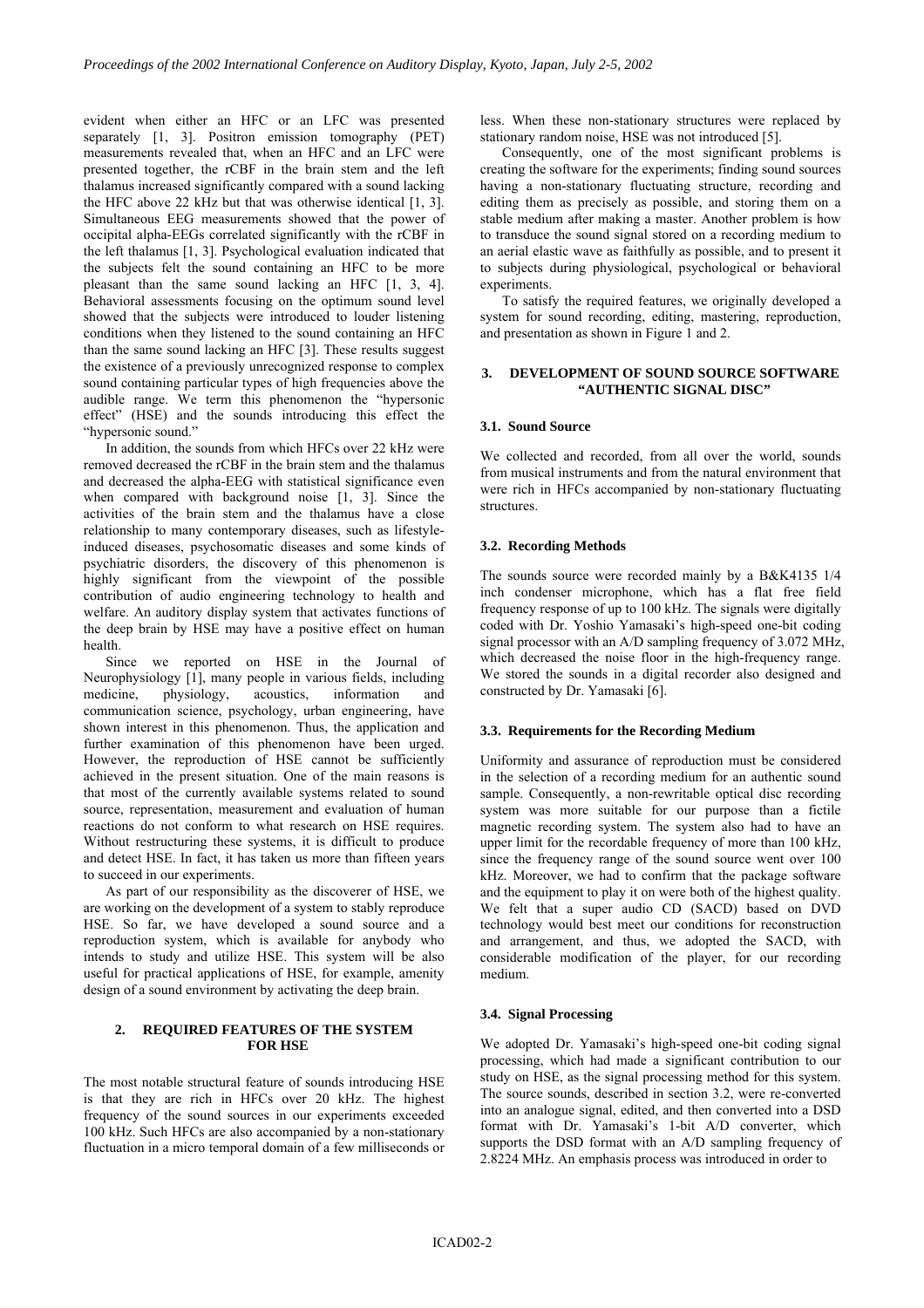evident when either an HFC or an LFC was presented separately [1, 3]. Positron emission tomography (PET) measurements revealed that, when an HFC and an LFC were presented together, the rCBF in the brain stem and the left thalamus increased significantly compared with a sound lacking the HFC above 22 kHz but that was otherwise identical [1, 3]. Simultaneous EEG measurements showed that the power of occipital alpha-EEGs correlated significantly with the rCBF in the left thalamus [1, 3]. Psychological evaluation indicated that the subjects felt the sound containing an HFC to be more pleasant than the same sound lacking an HFC [1, 3, 4]. Behavioral assessments focusing on the optimum sound level showed that the subjects were introduced to louder listening conditions when they listened to the sound containing an HFC than the same sound lacking an HFC [3]. These results suggest the existence of a previously unrecognized response to complex sound containing particular types of high frequencies above the audible range. We term this phenomenon the "hypersonic effect" (HSE) and the sounds introducing this effect the "hypersonic sound."

In addition, the sounds from which HFCs over 22 kHz were removed decreased the rCBF in the brain stem and the thalamus and decreased the alpha-EEG with statistical significance even when compared with background noise [1, 3]. Since the activities of the brain stem and the thalamus have a close relationship to many contemporary diseases, such as lifestyleinduced diseases, psychosomatic diseases and some kinds of psychiatric disorders, the discovery of this phenomenon is highly significant from the viewpoint of the possible contribution of audio engineering technology to health and welfare. An auditory display system that activates functions of the deep brain by HSE may have a positive effect on human health.

Since we reported on HSE in the Journal of Neurophysiology [1], many people in various fields, including medicine, physiology, acoustics, information and communication science, psychology, urban engineering, have shown interest in this phenomenon. Thus, the application and further examination of this phenomenon have been urged. However, the reproduction of HSE cannot be sufficiently achieved in the present situation. One of the main reasons is that most of the currently available systems related to sound source, representation, measurement and evaluation of human reactions do not conform to what research on HSE requires. Without restructuring these systems, it is difficult to produce and detect HSE. In fact, it has taken us more than fifteen years to succeed in our experiments.

As part of our responsibility as the discoverer of HSE, we are working on the development of a system to stably reproduce HSE. So far, we have developed a sound source and a reproduction system, which is available for anybody who intends to study and utilize HSE. This system will be also useful for practical applications of HSE, for example, amenity design of a sound environment by activating the deep brain.

## **2. REQUIRED FEATURES OF THE SYSTEM FOR HSE**

The most notable structural feature of sounds introducing HSE is that they are rich in HFCs over 20 kHz. The highest frequency of the sound sources in our experiments exceeded 100 kHz. Such HFCs are also accompanied by a non-stationary fluctuation in a micro temporal domain of a few milliseconds or

less. When these non-stationary structures were replaced by stationary random noise, HSE was not introduced [5].

Consequently, one of the most significant problems is creating the software for the experiments; finding sound sources having a non-stationary fluctuating structure, recording and editing them as precisely as possible, and storing them on a stable medium after making a master. Another problem is how to transduce the sound signal stored on a recording medium to an aerial elastic wave as faithfully as possible, and to present it to subjects during physiological, psychological or behavioral experiments.

To satisfy the required features, we originally developed a system for sound recording, editing, mastering, reproduction, and presentation as shown in Figure 1 and 2.

## **3. DEVELOPMENT OF SOUND SOURCE SOFTWARE "AUTHENTIC SIGNAL DISC"**

#### **3.1. Sound Source**

We collected and recorded, from all over the world, sounds from musical instruments and from the natural environment that were rich in HFCs accompanied by non-stationary fluctuating structures.

## **3.2. Recording Methods**

The sounds source were recorded mainly by a B&K4135 1/4 inch condenser microphone, which has a flat free field frequency response of up to 100 kHz. The signals were digitally coded with Dr. Yoshio Yamasaki's high-speed one-bit coding signal processor with an A/D sampling frequency of 3.072 MHz, which decreased the noise floor in the high-frequency range. We stored the sounds in a digital recorder also designed and constructed by Dr. Yamasaki [6].

#### **3.3. Requirements for the Recording Medium**

Uniformity and assurance of reproduction must be considered in the selection of a recording medium for an authentic sound sample. Consequently, a non-rewritable optical disc recording system was more suitable for our purpose than a fictile magnetic recording system. The system also had to have an upper limit for the recordable frequency of more than 100 kHz, since the frequency range of the sound source went over 100 kHz. Moreover, we had to confirm that the package software and the equipment to play it on were both of the highest quality. We felt that a super audio CD (SACD) based on DVD technology would best meet our conditions for reconstruction and arrangement, and thus, we adopted the SACD, with considerable modification of the player, for our recording medium.

#### **3.4. Signal Processing**

We adopted Dr. Yamasaki's high-speed one-bit coding signal processing, which had made a significant contribution to our study on HSE, as the signal processing method for this system. The source sounds, described in section 3.2, were re-converted into an analogue signal, edited, and then converted into a DSD format with Dr. Yamasaki's 1-bit A/D converter, which supports the DSD format with an A/D sampling frequency of 2.8224 MHz. An emphasis process was introduced in order to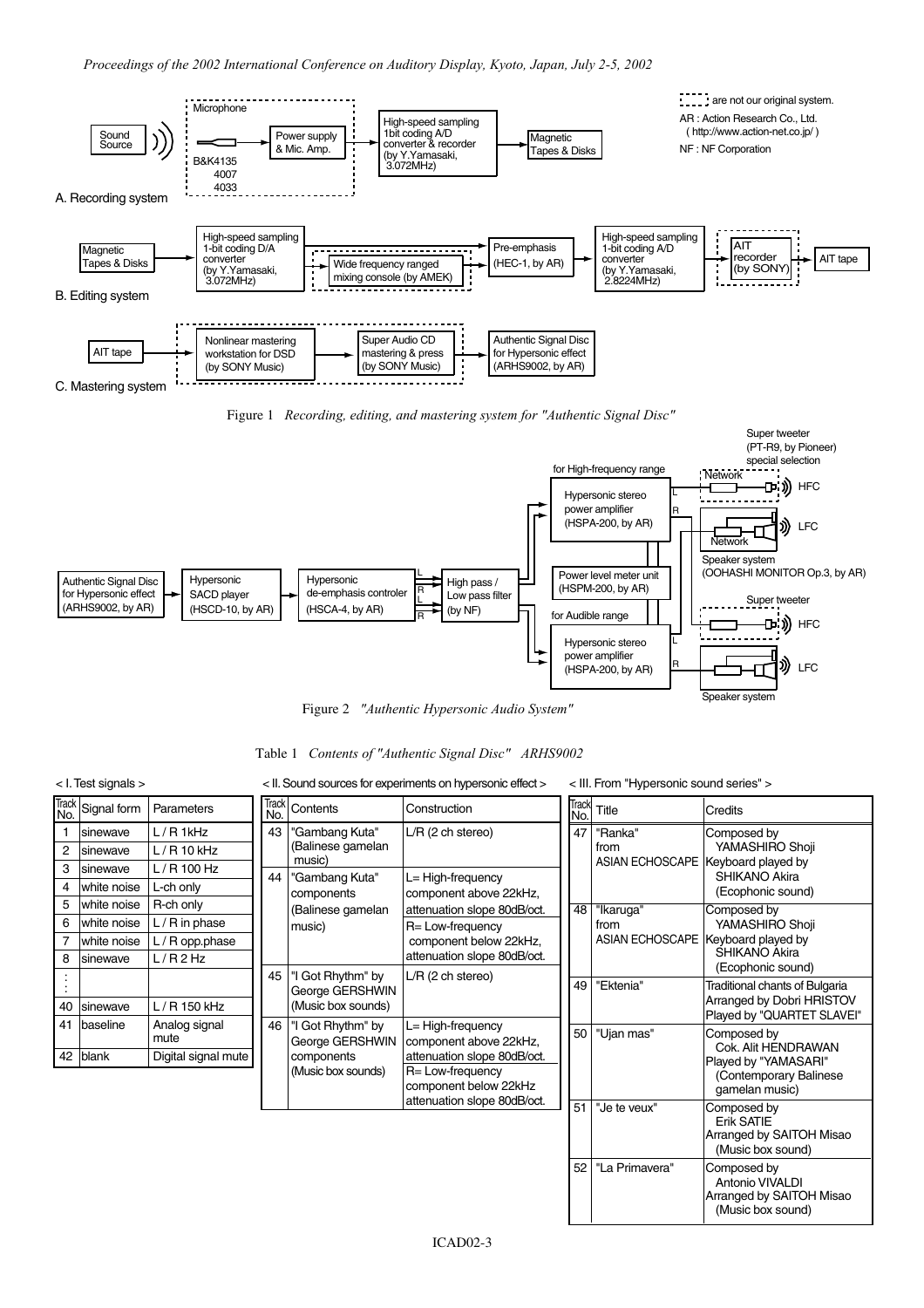



Figure 2 *"Authentic Hypersonic Audio System"*

| Table 1 Contents of "Authentic Signal Disc" ARHS9002 |  |  |  |  |  |
|------------------------------------------------------|--|--|--|--|--|
|------------------------------------------------------|--|--|--|--|--|

| $<$ I. Test signals $>$ | < II. Sound sources for experiments on hypersonic effect > | < III. From "Hypersonic sound series" > |
|-------------------------|------------------------------------------------------------|-----------------------------------------|
|                         |                                                            |                                         |

| <b>Track</b><br>No. | Signal form  | Parameters            | <b>Track</b><br>No.                        | Contents                                                                                                     | Construction                                                                                                          | <b>Track</b><br>No.         | Title                              | Credits                                                                         |                                             |
|---------------------|--------------|-----------------------|--------------------------------------------|--------------------------------------------------------------------------------------------------------------|-----------------------------------------------------------------------------------------------------------------------|-----------------------------|------------------------------------|---------------------------------------------------------------------------------|---------------------------------------------|
|                     | Isinewave    | $L/R$ 1kHz            | 43                                         | 'Gambang Kuta"<br>(Balinese gamelan<br>music)<br>"Gambang Kuta"<br>components<br>(Balinese gamelan<br>music) | $L/R$ (2 ch stereo)<br>L= High-frequency<br>component above 22kHz,<br>attenuation slope 80dB/oct.<br>R= Low-frequency | 47                          | "Ranka"                            | Composed by                                                                     |                                             |
| $\overline{2}$      | Isinewave    | $L/R$ 10 kHz          |                                            |                                                                                                              |                                                                                                                       |                             | from                               | YAMASHIRO Shoji                                                                 |                                             |
| 3                   | Isinewave    | $L/R$ 100 Hz          |                                            |                                                                                                              |                                                                                                                       |                             | ASIAN ECHOSCAPE Keyboard played by | SHIKANO Akira                                                                   |                                             |
| 4                   | lwhite noise | L-ch only             | 44                                         |                                                                                                              |                                                                                                                       |                             |                                    | (Ecophonic sound)                                                               |                                             |
| 5                   | white noise  | R-ch only             |                                            |                                                                                                              |                                                                                                                       | 48                          | "Ikaruga"                          | Composed by                                                                     |                                             |
| 6                   | lwhite noise | $L/R$ in phase        |                                            |                                                                                                              |                                                                                                                       |                             | from                               | YAMASHIRO Shoji                                                                 |                                             |
|                     | white noise  | L / R opp.phase       |                                            |                                                                                                              | component below 22kHz,                                                                                                |                             |                                    | ASIAN ECHOSCAPE Keyboard played by                                              |                                             |
| 8                   | Isinewave    | L/R2Hz                |                                            |                                                                                                              | attenuation slope 80dB/oct.                                                                                           |                             |                                    | <b>SHIKANO Akira</b><br>(Ecophonic sound)                                       |                                             |
|                     |              |                       | 45                                         | Got Rhythm" by<br>George GERSHWIN<br>(Music box sounds)                                                      | $L/R$ (2 ch stereo)                                                                                                   | 49                          | "Ektenia"                          | Traditional chants of Bulgaria                                                  |                                             |
|                     |              | L / R 150 kHz         |                                            |                                                                                                              |                                                                                                                       |                             |                                    | Arranged by Dobri HRISTOV                                                       |                                             |
| 40                  | Isinewave    |                       |                                            |                                                                                                              |                                                                                                                       |                             |                                    | Played by "QUARTET SLAVEI"                                                      |                                             |
|                     | 41 baseline  | Analog signal<br>mute | 46<br>"I Got Rhythm" by<br>George GERSHWIN | L= High-frequency<br>component above 22kHz,                                                                  |                                                                                                                       | 50   "Ujan mas"             | Composed by                        |                                                                                 |                                             |
|                     | 42 blank     | Digital signal mute   |                                            | components<br>(Music box sounds)                                                                             |                                                                                                                       | attenuation slope 80dB/oct. |                                    |                                                                                 | Cok. Alit HENDRAWAN<br>Played by "YAMASARI" |
|                     |              |                       |                                            |                                                                                                              |                                                                                                                       |                             | R= Low-frequency                   |                                                                                 |                                             |
|                     |              |                       |                                            |                                                                                                              | component below 22kHz                                                                                                 |                             |                                    | gamelan music)                                                                  |                                             |
|                     |              |                       |                                            |                                                                                                              | attenuation slope 80dB/oct.                                                                                           | 51                          | "Je te veux"                       | Composed by<br>Erik SATIE<br>Arranged by SAITOH Misao<br>(Music box sound)      |                                             |
|                     |              |                       |                                            |                                                                                                              |                                                                                                                       | 52                          | "La Primavera"                     | Composed by<br>Antonio VIVALDI<br>Arranged by SAITOH Misao<br>(Music box sound) |                                             |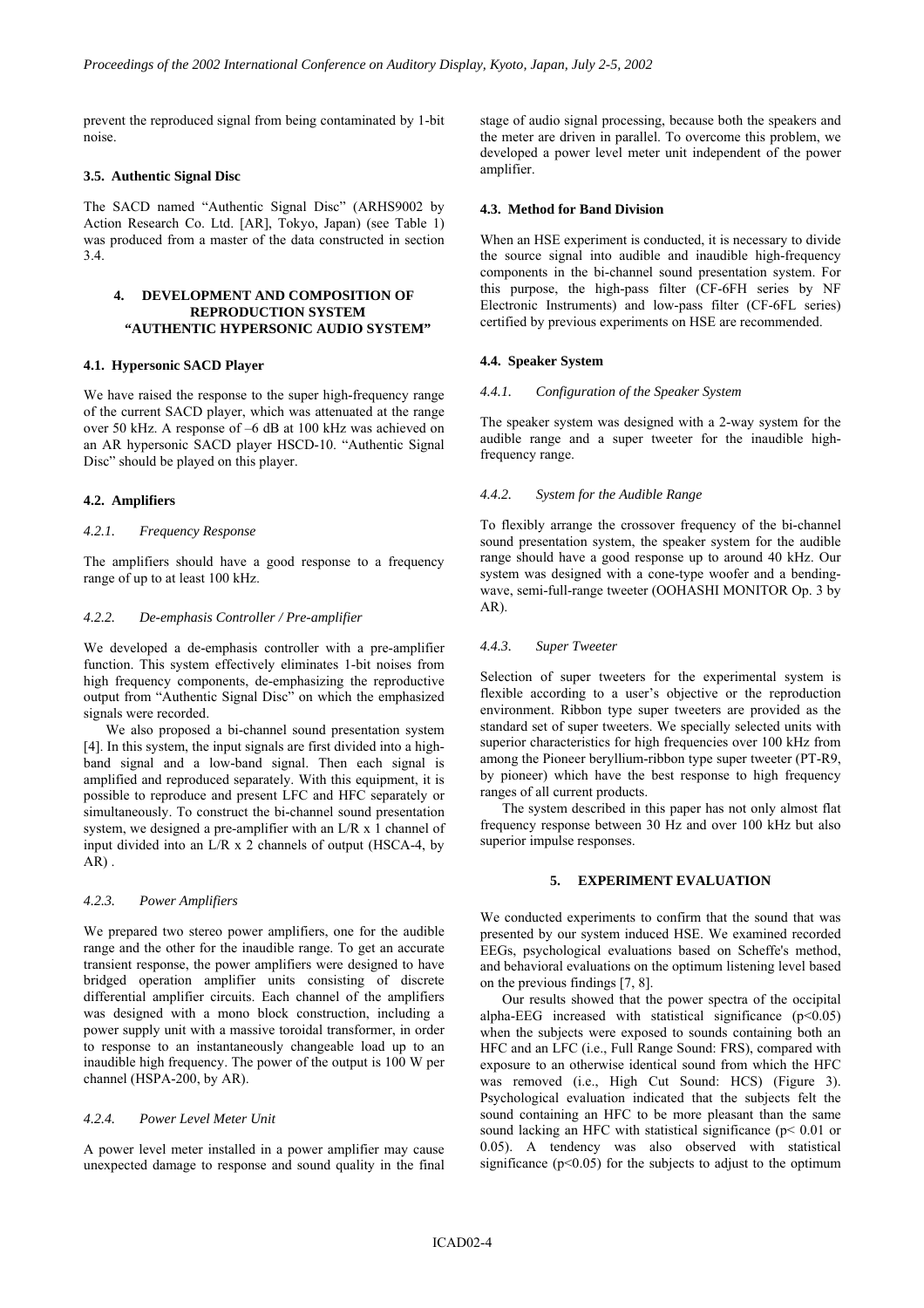prevent the reproduced signal from being contaminated by 1-bit noise.

## **3.5. Authentic Signal Disc**

The SACD named "Authentic Signal Disc" (ARHS9002 by Action Research Co. Ltd. [AR], Tokyo, Japan) (see Table 1) was produced from a master of the data constructed in section 3.4.

## **4. DEVELOPMENT AND COMPOSITION OF REPRODUCTION SYSTEM "AUTHENTIC HYPERSONIC AUDIO SYSTEM"**

## **4.1. Hypersonic SACD Player**

We have raised the response to the super high-frequency range of the current SACD player, which was attenuated at the range over 50 kHz. A response of –6 dB at 100 kHz was achieved on an AR hypersonic SACD player HSCD-10. "Authentic Signal Disc" should be played on this player.

## **4.2. Amplifiers**

#### *4.2.1. Frequency Response*

The amplifiers should have a good response to a frequency range of up to at least 100 kHz.

#### *4.2.2. De-emphasis Controller / Pre-amplifier*

We developed a de-emphasis controller with a pre-amplifier function. This system effectively eliminates 1-bit noises from high frequency components, de-emphasizing the reproductive output from "Authentic Signal Disc" on which the emphasized signals were recorded.

We also proposed a bi-channel sound presentation system [4]. In this system, the input signals are first divided into a highband signal and a low-band signal. Then each signal is amplified and reproduced separately. With this equipment, it is possible to reproduce and present LFC and HFC separately or simultaneously. To construct the bi-channel sound presentation system, we designed a pre-amplifier with an  $L/R \times 1$  channel of input divided into an  $L/R \times 2$  channels of output (HSCA-4, by  $AR$ ).

#### *4.2.3. Power Amplifiers*

We prepared two stereo power amplifiers, one for the audible range and the other for the inaudible range. To get an accurate transient response, the power amplifiers were designed to have bridged operation amplifier units consisting of discrete differential amplifier circuits. Each channel of the amplifiers was designed with a mono block construction, including a power supply unit with a massive toroidal transformer, in order to response to an instantaneously changeable load up to an inaudible high frequency. The power of the output is 100 W per channel (HSPA-200, by AR).

## *4.2.4. Power Level Meter Unit*

A power level meter installed in a power amplifier may cause unexpected damage to response and sound quality in the final stage of audio signal processing, because both the speakers and the meter are driven in parallel. To overcome this problem, we developed a power level meter unit independent of the power amplifier.

## **4.3. Method for Band Division**

When an HSE experiment is conducted, it is necessary to divide the source signal into audible and inaudible high-frequency components in the bi-channel sound presentation system. For this purpose, the high-pass filter (CF-6FH series by NF Electronic Instruments) and low-pass filter (CF-6FL series) certified by previous experiments on HSE are recommended.

### **4.4. Speaker System**

#### *4.4.1. Configuration of the Speaker System*

The speaker system was designed with a 2-way system for the audible range and a super tweeter for the inaudible highfrequency range.

## *4.4.2. System for the Audible Range*

To flexibly arrange the crossover frequency of the bi-channel sound presentation system, the speaker system for the audible range should have a good response up to around 40 kHz. Our system was designed with a cone-type woofer and a bendingwave, semi-full-range tweeter (OOHASHI MONITOR Op. 3 by AR).

## *4.4.3. Super Tweeter*

Selection of super tweeters for the experimental system is flexible according to a user's objective or the reproduction environment. Ribbon type super tweeters are provided as the standard set of super tweeters. We specially selected units with superior characteristics for high frequencies over 100 kHz from among the Pioneer beryllium-ribbon type super tweeter (PT-R9, by pioneer) which have the best response to high frequency ranges of all current products.

The system described in this paper has not only almost flat frequency response between 30 Hz and over 100 kHz but also superior impulse responses.

## **5. EXPERIMENT EVALUATION**

We conducted experiments to confirm that the sound that was presented by our system induced HSE. We examined recorded EEGs, psychological evaluations based on Scheffe's method, and behavioral evaluations on the optimum listening level based on the previous findings [7, 8].

Our results showed that the power spectra of the occipital alpha-EEG increased with statistical significance  $(p<0.05)$ when the subjects were exposed to sounds containing both an HFC and an LFC (i.e., Full Range Sound: FRS), compared with exposure to an otherwise identical sound from which the HFC was removed (i.e., High Cut Sound: HCS) (Figure 3). Psychological evaluation indicated that the subjects felt the sound containing an HFC to be more pleasant than the same sound lacking an HFC with statistical significance (p< 0.01 or 0.05). A tendency was also observed with statistical significance  $(p<0.05)$  for the subjects to adjust to the optimum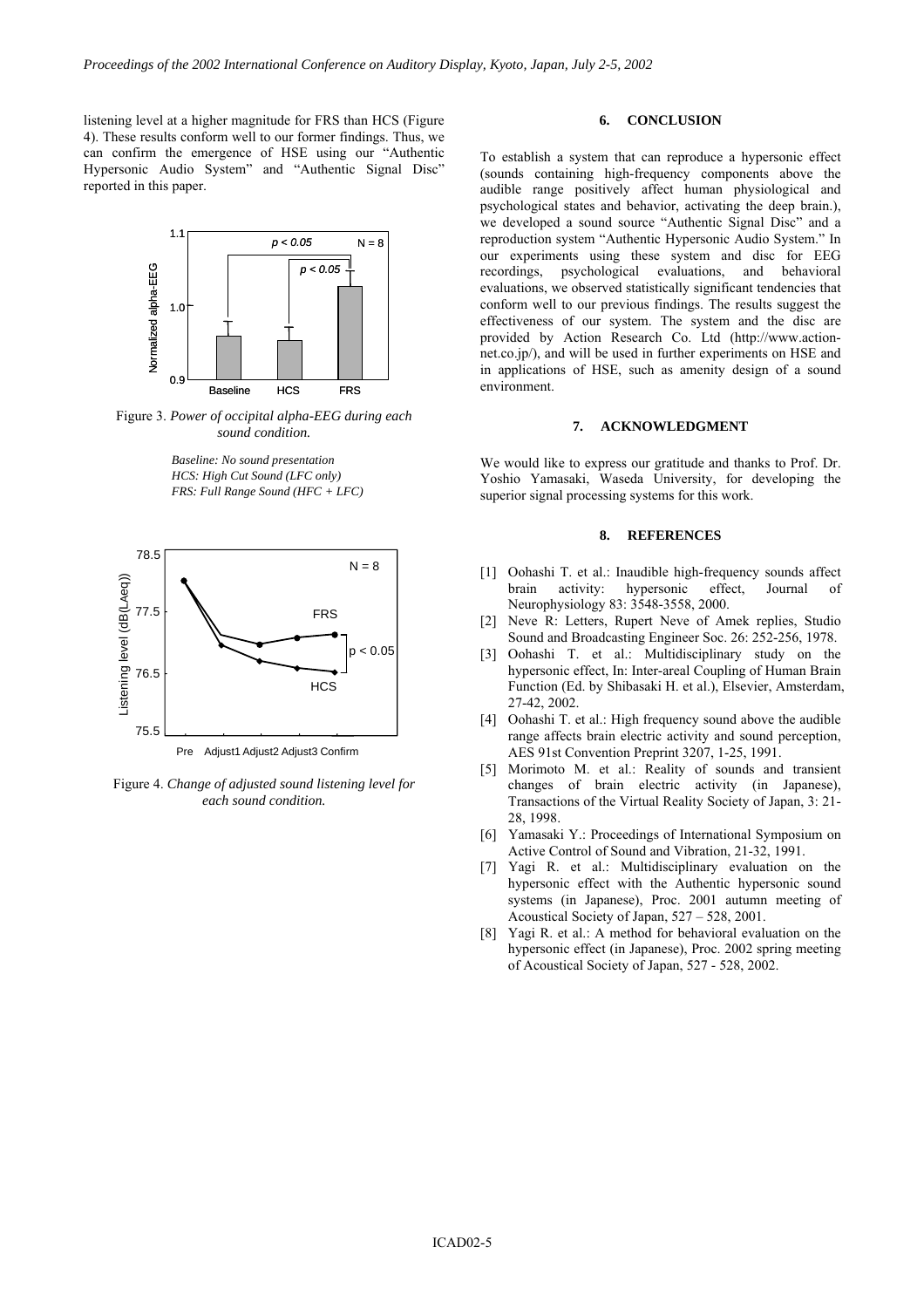listening level at a higher magnitude for FRS than HCS (Figure 4). These results conform well to our former findings. Thus, we can confirm the emergence of HSE using our "Authentic Hypersonic Audio System" and "Authentic Signal Disc" reported in this paper.



Figure 3. *Power of occipital alpha-EEG during each sound condition.* 

*Baseline: No sound presentation HCS: High Cut Sound (LFC only) FRS: Full Range Sound (HFC + LFC)*



Figure 4. *Change of adjusted sound listening level for each sound condition.* 

## **6. CONCLUSION**

To establish a system that can reproduce a hypersonic effect (sounds containing high-frequency components above the audible range positively affect human physiological and psychological states and behavior, activating the deep brain.), we developed a sound source "Authentic Signal Disc" and a reproduction system "Authentic Hypersonic Audio System." In our experiments using these system and disc for EEG recordings, psychological evaluations, and behavioral evaluations, we observed statistically significant tendencies that conform well to our previous findings. The results suggest the effectiveness of our system. The system and the disc are provided by Action Research Co. Ltd (http://www.actionnet.co.jp/), and will be used in further experiments on HSE and in applications of HSE, such as amenity design of a sound environment.

#### **7. ACKNOWLEDGMENT**

We would like to express our gratitude and thanks to Prof. Dr. Yoshio Yamasaki, Waseda University, for developing the superior signal processing systems for this work.

## **8. REFERENCES**

- [1] Oohashi T. et al.: Inaudible high-frequency sounds affect brain activity: hypersonic effect, Journal Neurophysiology 83: 3548-3558, 2000.
- [2] Neve R: Letters, Rupert Neve of Amek replies, Studio Sound and Broadcasting Engineer Soc. 26: 252-256, 1978.
- [3] Oohashi T. et al.: Multidisciplinary study on the hypersonic effect, In: Inter-areal Coupling of Human Brain Function (Ed. by Shibasaki H. et al.), Elsevier, Amsterdam, 27-42, 2002.
- [4] Oohashi T. et al.: High frequency sound above the audible range affects brain electric activity and sound perception, AES 91st Convention Preprint 3207, 1-25, 1991.
- [5] Morimoto M. et al.: Reality of sounds and transient changes of brain electric activity (in Japanese), Transactions of the Virtual Reality Society of Japan, 3: 21- 28, 1998.
- [6] Yamasaki Y.: Proceedings of International Symposium on Active Control of Sound and Vibration, 21-32, 1991.
- [7] Yagi R. et al.: Multidisciplinary evaluation on the hypersonic effect with the Authentic hypersonic sound systems (in Japanese), Proc. 2001 autumn meeting of Acoustical Society of Japan, 527 – 528, 2001.
- [8] Yagi R. et al.: A method for behavioral evaluation on the hypersonic effect (in Japanese), Proc. 2002 spring meeting of Acoustical Society of Japan, 527 - 528, 2002.